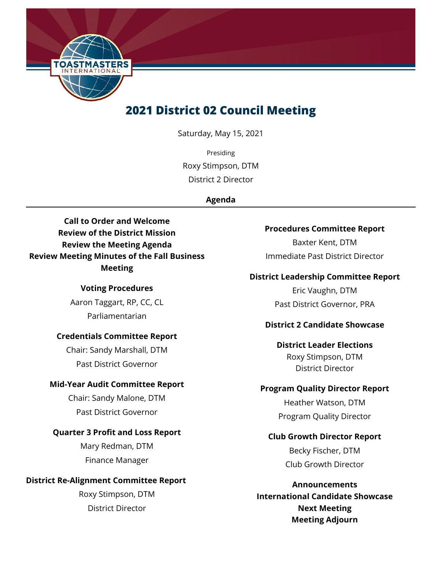

## **2021 District 02 Council Meeting**

Saturday, May 15, 2021

Presiding Roxy Stimpson, DTM District 2 Director

## **Agenda**

**Call to Order and Welcome Review of the District Mission Review the Meeting Agenda Review Meeting Minutes of the Fall Business Meeting**

#### **Voting Procedures**

Aaron Taggart, RP, CC, CL Parliamentarian

## **Credentials Committee Report**

Chair: Sandy Marshall, DTM Past District Governor

## **Mid-Year Audit Committee Report**

Chair: Sandy Malone, DTM Past District Governor

## **Quarter 3 Profit and Loss Report**

Mary Redman, DTM Finance Manager

## **District Re-Alignment Committee Report**

Roxy Stimpson, DTM District Director

#### **Procedures Committee Report**

Baxter Kent, DTM Immediate Past District Director

## **District Leadership Committee Report**

Eric Vaughn, DTM Past District Governor, PRA

## **District 2 Candidate Showcase**

**District Leader Elections** Roxy Stimpson, DTM District Director

## **Program Quality Director Report**

Heather Watson, DTM Program Quality Director

## **Club Growth Director Report**

Becky Fischer, DTM Club Growth Director

**Announcements International Candidate Showcase Next Meeting Meeting Adjourn**